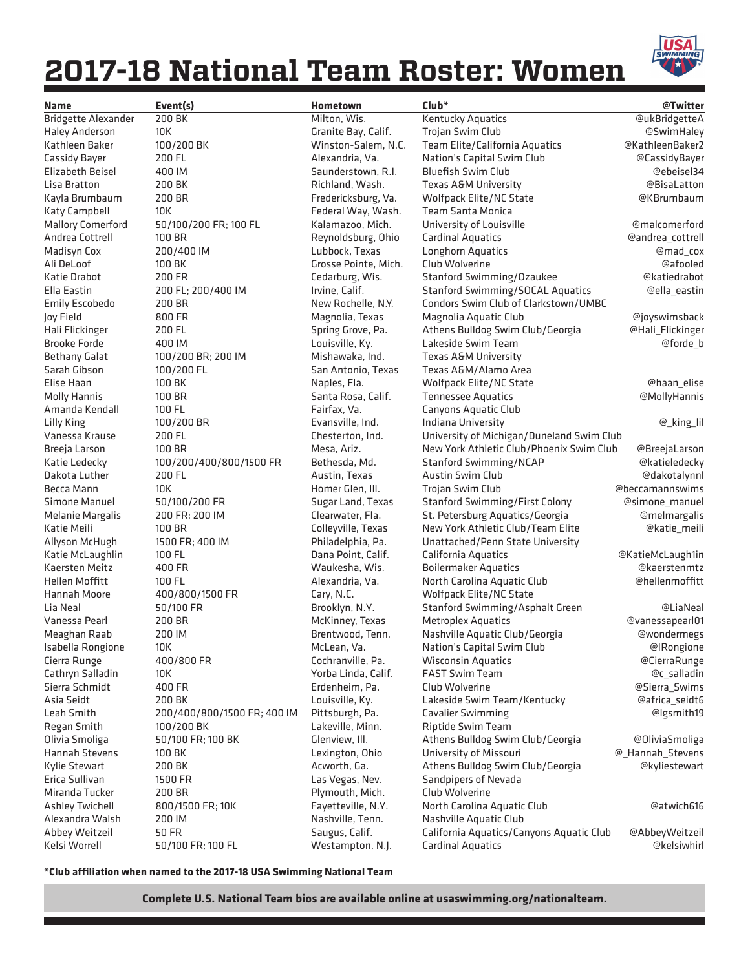## **2017-18 National Team Roster: Women**



| Name                       | Event(s)                    | <b>Hometown</b>      | $Club*$                                   | @Twitter             |
|----------------------------|-----------------------------|----------------------|-------------------------------------------|----------------------|
| <b>Bridgette Alexander</b> | 200 BK                      | Milton, Wis.         | <b>Kentucky Aquatics</b>                  | <b>@ukBridgetteA</b> |
| <b>Haley Anderson</b>      | <b>10K</b>                  | Granite Bay, Calif.  | Trojan Swim Club                          | @SwimHaley           |
| Kathleen Baker             | 100/200 BK                  | Winston-Salem, N.C.  | Team Elite/California Aquatics            | @KathleenBaker2      |
| Cassidy Bayer              | 200 FL                      | Alexandria, Va.      | Nation's Capital Swim Club                | @CassidyBayer        |
| Elizabeth Beisel           | 400 IM                      | Saunderstown, R.I.   | <b>Bluefish Swim Club</b>                 | @ebeisel34           |
| Lisa Bratton               | 200 BK                      | Richland, Wash.      | <b>Texas A&amp;M University</b>           | @BisaLatton          |
| Kayla Brumbaum             | 200 BR                      | Fredericksburg, Va.  | Wolfpack Elite/NC State                   | @KBrumbaum           |
| Katy Campbell              | 10K                         | Federal Way, Wash.   | <b>Team Santa Monica</b>                  |                      |
| <b>Mallory Comerford</b>   | 50/100/200 FR; 100 FL       | Kalamazoo, Mich.     | University of Louisville                  | @malcomerford        |
| Andrea Cottrell            | 100 BR                      | Reynoldsburg, Ohio   | <b>Cardinal Aquatics</b>                  | @andrea cottrell     |
| Madisyn Cox                | 200/400 IM                  | Lubbock, Texas       | Longhorn Aquatics                         | @mad_cox             |
| Ali DeLoof                 | 100 BK                      | Grosse Pointe, Mich. | Club Wolverine                            | @afooled             |
| Katie Drabot               | 200 FR                      | Cedarburg, Wis.      | Stanford Swimming/Ozaukee                 | @katiedrabot         |
| Ella Eastin                | 200 FL; 200/400 IM          | Irvine, Calif.       | <b>Stanford Swimming/SOCAL Aquatics</b>   | @ella_eastin         |
| Emily Escobedo             | 200 BR                      | New Rochelle, N.Y.   | Condors Swim Club of Clarkstown/UMBC      |                      |
| Joy Field                  | 800 FR                      | Magnolia, Texas      | Magnolia Aquatic Club                     | @joyswimsback        |
| Hali Flickinger            | 200 FL                      | Spring Grove, Pa.    | Athens Bulldog Swim Club/Georgia          | @Hali_Flickinger     |
| <b>Brooke Forde</b>        | 400 IM                      | Louisville, Ky.      | Lakeside Swim Team                        | @forde_b             |
| <b>Bethany Galat</b>       | 100/200 BR; 200 IM          | Mishawaka, Ind.      | <b>Texas A&amp;M University</b>           |                      |
| Sarah Gibson               | 100/200 FL                  | San Antonio, Texas   | Texas A&M/Alamo Area                      |                      |
| Elise Haan                 | 100 BK                      | Naples, Fla.         | Wolfpack Elite/NC State                   | @haan elise          |
| <b>Molly Hannis</b>        | 100 BR                      | Santa Rosa, Calif.   | <b>Tennessee Aquatics</b>                 | @MollyHannis         |
| Amanda Kendall             | 100 FL                      | Fairfax, Va.         | Canyons Aquatic Club                      |                      |
| Lilly King                 | 100/200 BR                  | Evansville, Ind.     | Indiana University                        | @_king_lil           |
| Vanessa Krause             | 200 FL                      | Chesterton, Ind.     | University of Michigan/Duneland Swim Club |                      |
| Breeja Larson              | 100 BR                      | Mesa, Ariz.          | New York Athletic Club/Phoenix Swim Club  | @BreejaLarson        |
| Katie Ledecky              | 100/200/400/800/1500 FR     | Bethesda, Md.        | Stanford Swimming/NCAP                    | @katieledecky        |
| Dakota Luther              | 200 FL                      | Austin, Texas        | Austin Swim Club                          | @dakotalynnl         |
| Becca Mann                 | 10K                         | Homer Glen, Ill.     | Trojan Swim Club                          | @beccamannswims      |
| Simone Manuel              | 50/100/200 FR               | Sugar Land, Texas    | <b>Stanford Swimming/First Colony</b>     | @simone_manuel       |
| <b>Melanie Margalis</b>    | 200 FR; 200 IM              | Clearwater, Fla.     | St. Petersburg Aquatics/Georgia           | @melmargalis         |
| Katie Meili                | 100 BR                      | Colleyville, Texas   | New York Athletic Club/Team Elite         | @katie_meili         |
| Allyson McHugh             | 1500 FR; 400 IM             | Philadelphia, Pa.    | Unattached/Penn State University          |                      |
| Katie McLaughlin           | 100 FL                      | Dana Point, Calif.   | California Aquatics                       | @KatieMcLaugh1in     |
| Kaersten Meitz             | 400 FR                      | Waukesha, Wis.       | <b>Boilermaker Aquatics</b>               | @kaerstenmtz         |
| Hellen Moffitt             | 100 FL                      |                      | North Carolina Aquatic Club               | @hellenmoffitt       |
|                            |                             | Alexandria, Va.      |                                           |                      |
| Hannah Moore               | 400/800/1500 FR             | Cary, N.C.           | Wolfpack Elite/NC State                   | @LiaNeal             |
| Lia Neal                   | 50/100 FR                   | Brooklyn, N.Y.       | Stanford Swimming/Asphalt Green           |                      |
| Vanessa Pearl              | 200 BR                      | McKinney, Texas      | <b>Metroplex Aquatics</b>                 | @vanessapearl01      |
| Meaghan Raab               | 200 IM                      | Brentwood, Tenn.     | Nashville Aquatic Club/Georgia            | @wondermegs          |
| Isabella Rongione          | 10K                         | McLean, Va.          | Nation's Capital Swim Club                | @IRongione           |
| Cierra Runge               | 400/800 FR                  | Cochranville, Pa.    | <b>Wisconsin Aquatics</b>                 | @CierraRunge         |
| Cathryn Salladin           | 10K                         | Yorba Linda, Calif.  | <b>FAST Swim Team</b>                     | @c_salladin          |
| Sierra Schmidt             | 400 FR                      | Erdenheim, Pa.       | Club Wolverine                            | @Sierra_Swims        |
| Asia Seidt                 | 200 BK                      | Louisville, Ky.      | Lakeside Swim Team/Kentucky               | @africa_seidt6       |
| Leah Smith                 | 200/400/800/1500 FR; 400 IM | Pittsburgh, Pa.      | <b>Cavalier Swimming</b>                  | @lgsmith19           |
| Regan Smith                | 100/200 BK                  | Lakeville, Minn.     | Riptide Swim Team                         |                      |
| Olivia Smoliga             | 50/100 FR; 100 BK           | Glenview, Ill.       | Athens Bulldog Swim Club/Georgia          | @OliviaSmoliga       |
| Hannah Stevens             | 100 BK                      | Lexington, Ohio      | University of Missouri                    | @ Hannah Stevens     |
| Kylie Stewart              | 200 BK                      | Acworth, Ga.         | Athens Bulldog Swim Club/Georgia          | @kyliestewart        |
| Erica Sullivan             | 1500 FR                     | Las Vegas, Nev.      | Sandpipers of Nevada                      |                      |
| Miranda Tucker             | 200 BR                      | Plymouth, Mich.      | Club Wolverine                            |                      |
| Ashley Twichell            | 800/1500 FR; 10K            | Fayetteville, N.Y.   | North Carolina Aquatic Club               | @atwich616           |
| Alexandra Walsh            | 200 IM                      | Nashville, Tenn.     | Nashville Aquatic Club                    |                      |
| Abbey Weitzeil             | <b>50 FR</b>                | Saugus, Calif.       | California Aquatics/Canyons Aquatic Club  | @AbbeyWeitzeil       |
| Kelsi Worrell              | 50/100 FR; 100 FL           | Westampton, N.J.     | <b>Cardinal Aquatics</b>                  | @kelsiwhirl          |

**\*Club affiliation when named to the 2017-18 USA Swimming National Team**

**Complete U.S. National Team bios are available online at usaswimming.org/nationalteam.**